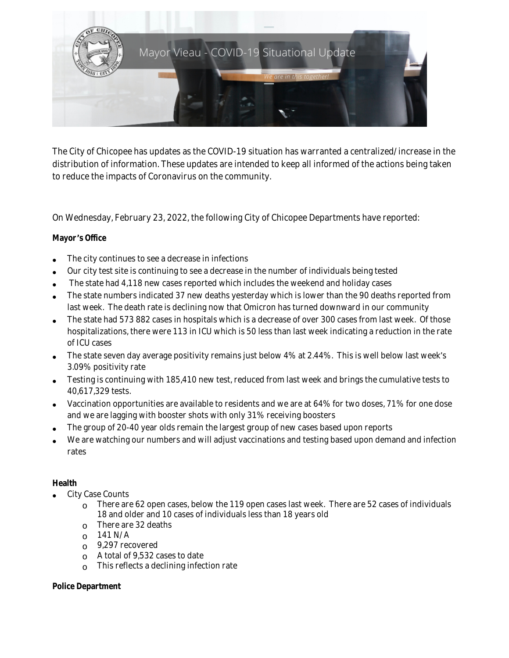

The City of Chicopee has updates as the COVID-19 situation has warranted a centralized/increase in the distribution of information. These updates are intended to keep all informed of the actions being taken to reduce the impacts of Coronavirus on the community.

On Wednesday, February 23, 2022, the following City of Chicopee Departments have reported:

## **Mayor** '**s Office**

- The city continues to see a decrease in infections
- Our city test site is continuing to see a decrease in the number of individuals being tested
- The state had 4,118 new cases reported which includes the weekend and holiday cases
- The state numbers indicated 37 new deaths yesterday which is lower than the 90 deaths reported from last week. The death rate is declining now that Omicron has turned downward in our community
- The state had 573 882 cases in hospitals which is a decrease of over 300 cases from last week. Of those hospitalizations, there were 113 in ICU which is 50 less than last week indicating a reduction in the rate of ICU cases
- The state seven day average positivity remains just below 4% at 2.44%. This is well below last week's 3.09% positivity rate
- Testing is continuing with 185,410 new test, reduced from last week and brings the cumulative tests to 40,617,329 tests.
- Vaccination opportunities are available to residents and we are at 64% for two doses, 71% for one dose and we are lagging with booster shots with only 31% receiving boosters
- The group of 20-40 year olds remain the largest group of new cases based upon reports
- We are watching our numbers and will adjust vaccinations and testing based upon demand and infection rates

## **Health**

- City Case Counts
	- $\Omega$  There are 62 open cases, below the 119 open cases last week. There are 52 cases of individuals 18 and older and 10 cases of individuals less than 18 years old
	- o There are 32 deaths
	- $_0$  141 N/A
	- o 9,297 recovered
	- o A total of 9,532 cases to date
	- o This reflects a declining infection rate

#### **Police Department**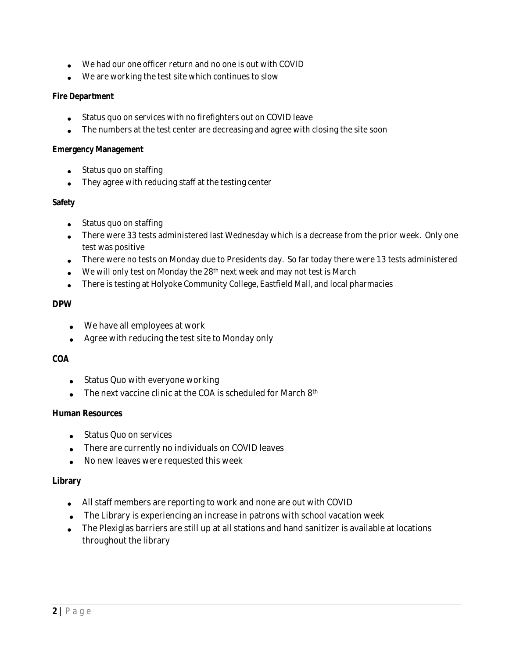- We had our one officer return and no one is out with COVID
- We are working the test site which continues to slow

### **Fire Department**

- Status quo on services with no firefighters out on COVID leave
- The numbers at the test center are decreasing and agree with closing the site soon

#### **Emergency Management**

- Status quo on staffing
- They agree with reducing staff at the testing center

### **Safety**

- Status quo on staffing
- There were 33 tests administered last Wednesday which is a decrease from the prior week. Only one test was positive
- There were no tests on Monday due to Presidents day. So far today there were 13 tests administered
- We will only test on Monday the 28th next week and may not test is March
- There is testing at Holyoke Community College, Eastfield Mall, and local pharmacies

### **DPW**

- We have all employees at work
- Agree with reducing the test site to Monday only

## **COA**

- Status Quo with everyone working
- $\bullet$  The next vaccine clinic at the COA is scheduled for March 8<sup>th</sup>

## **Human Resources**

- Status Quo on services
- There are currently no individuals on COVID leaves
- No new leaves were requested this week

#### **Library**

- All staff members are reporting to work and none are out with COVID
- The Library is experiencing an increase in patrons with school vacation week
- The Plexiglas barriers are still up at all stations and hand sanitizer is available at locations throughout the library